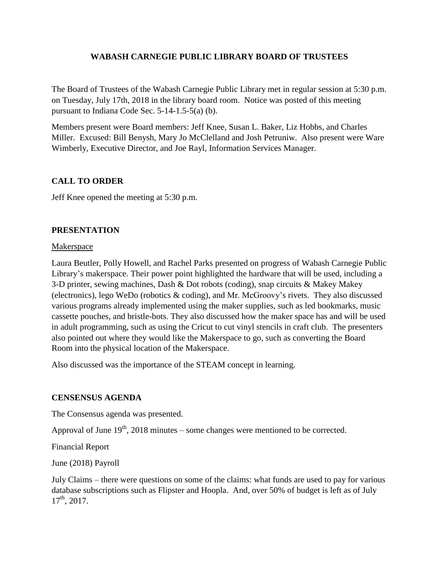## **WABASH CARNEGIE PUBLIC LIBRARY BOARD OF TRUSTEES**

The Board of Trustees of the Wabash Carnegie Public Library met in regular session at 5:30 p.m. on Tuesday, July 17th, 2018 in the library board room. Notice was posted of this meeting pursuant to Indiana Code Sec. 5-14-1.5-5(a) (b).

Members present were Board members: Jeff Knee, Susan L. Baker, Liz Hobbs, and Charles Miller. Excused: Bill Benysh, Mary Jo McClelland and Josh Petruniw. Also present were Ware Wimberly, Executive Director, and Joe Rayl, Information Services Manager.

# **CALL TO ORDER**

Jeff Knee opened the meeting at 5:30 p.m.

# **PRESENTATION**

## **Makerspace**

Laura Beutler, Polly Howell, and Rachel Parks presented on progress of Wabash Carnegie Public Library's makerspace. Their power point highlighted the hardware that will be used, including a 3-D printer, sewing machines, Dash & Dot robots (coding), snap circuits & Makey Makey (electronics), lego WeDo (robotics & coding), and Mr. McGroovy's rivets. They also discussed various programs already implemented using the maker supplies, such as led bookmarks, music cassette pouches, and bristle-bots. They also discussed how the maker space has and will be used in adult programming, such as using the Cricut to cut vinyl stencils in craft club. The presenters also pointed out where they would like the Makerspace to go, such as converting the Board Room into the physical location of the Makerspace.

Also discussed was the importance of the STEAM concept in learning.

## **CENSENSUS AGENDA**

The Consensus agenda was presented.

Approval of June  $19<sup>th</sup>$ , 2018 minutes – some changes were mentioned to be corrected.

Financial Report

June (2018) Payroll

July Claims – there were questions on some of the claims: what funds are used to pay for various database subscriptions such as Flipster and Hoopla. And, over 50% of budget is left as of July  $17^{th}$ , 2017.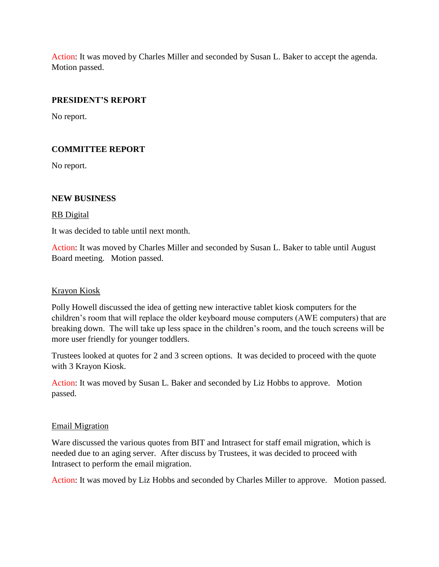Action: It was moved by Charles Miller and seconded by Susan L. Baker to accept the agenda. Motion passed.

## **PRESIDENT'S REPORT**

No report.

## **COMMITTEE REPORT**

No report.

### **NEW BUSINESS**

### RB Digital

It was decided to table until next month.

Action: It was moved by Charles Miller and seconded by Susan L. Baker to table until August Board meeting. Motion passed.

### Krayon Kiosk

Polly Howell discussed the idea of getting new interactive tablet kiosk computers for the children's room that will replace the older keyboard mouse computers (AWE computers) that are breaking down. The will take up less space in the children's room, and the touch screens will be more user friendly for younger toddlers.

Trustees looked at quotes for 2 and 3 screen options. It was decided to proceed with the quote with 3 Krayon Kiosk.

Action: It was moved by Susan L. Baker and seconded by Liz Hobbs to approve. Motion passed.

### Email Migration

Ware discussed the various quotes from BIT and Intrasect for staff email migration, which is needed due to an aging server. After discuss by Trustees, it was decided to proceed with Intrasect to perform the email migration.

Action: It was moved by Liz Hobbs and seconded by Charles Miller to approve. Motion passed.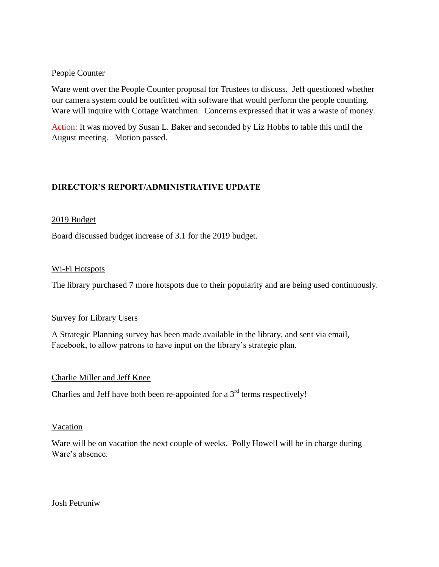### People Counter

Ware went over the People Counter proposal for Trustees to discuss. Jeff questioned whether our camera system could be outfitted with software that would perform the people counting. Ware will inquire with Cottage Watchmen. Concerns expressed that it was a waste of money.

Action: It was moved by Susan L. Baker and seconded by Liz Hobbs to table this until the August meeting. Motion passed.

## **DIRECTOR'S REPORT/ADMINISTRATIVE UPDATE**

### 2019 Budget

Board discussed budget increase of 3.1 for the 2019 budget.

#### Wi-Fi Hotspots

The library purchased 7 more hotspots due to their popularity and are being used continuously.

#### Survey for Library Users

A Strategic Planning survey has been made available in the library, and sent via email, Facebook, to allow patrons to have input on the library's strategic plan.

#### Charlie Miller and Jeff Knee

Charlies and Jeff have both been re-appointed for a  $3<sup>rd</sup>$  terms respectively!

#### Vacation

Ware will be on vacation the next couple of weeks. Polly Howell will be in charge during Ware's absence.

#### Josh Petruniw